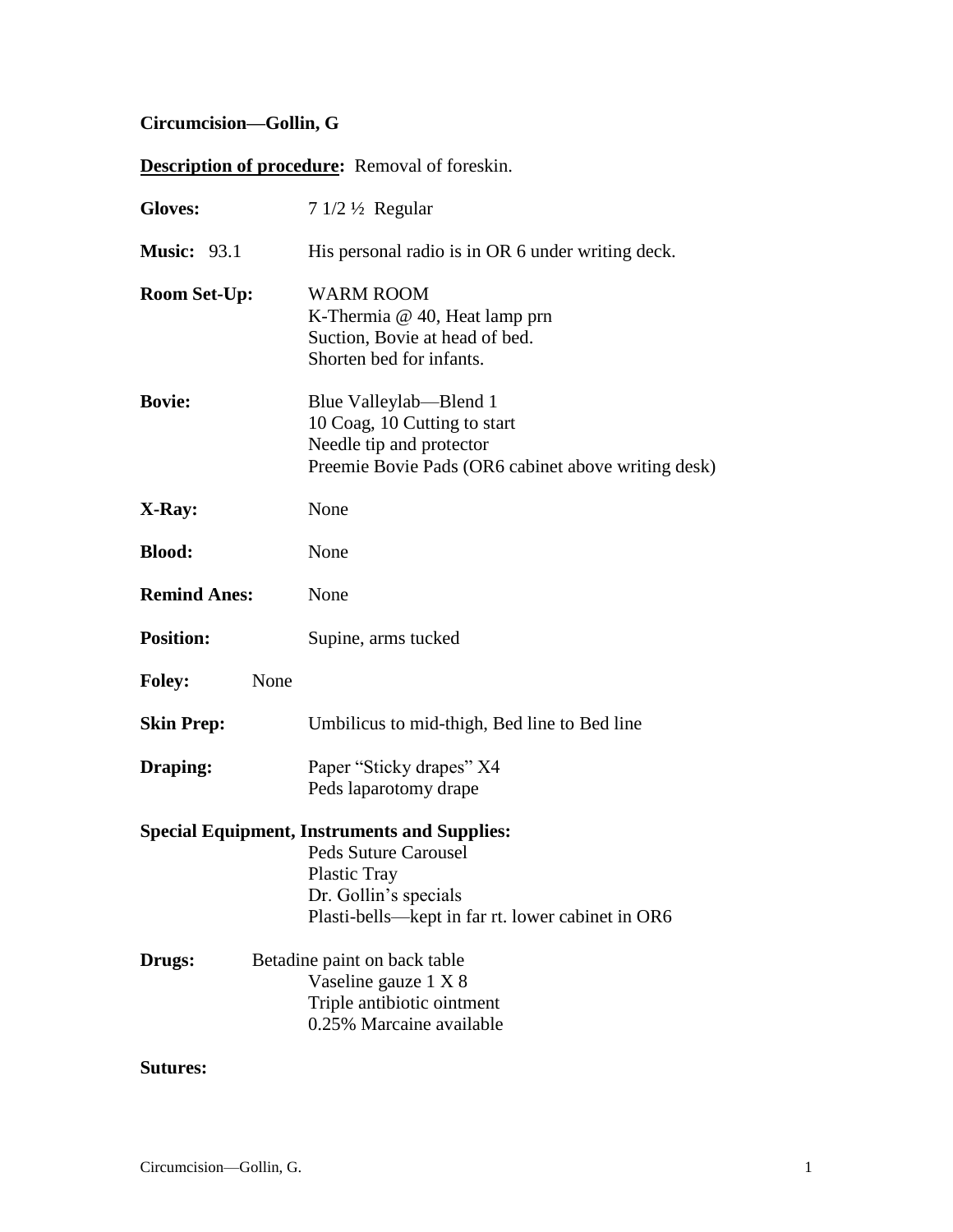# **Circumcision—Gollin, G**

# **Description of procedure:** Removal of foreskin.

| <b>Gloves:</b>      | $71/2\frac{1}{2}$ Regular                                                                                                                                                               |
|---------------------|-----------------------------------------------------------------------------------------------------------------------------------------------------------------------------------------|
| <b>Music: 93.1</b>  | His personal radio is in OR 6 under writing deck.                                                                                                                                       |
| <b>Room Set-Up:</b> | <b>WARM ROOM</b><br>K-Thermia $@$ 40, Heat lamp prn<br>Suction, Bovie at head of bed.<br>Shorten bed for infants.                                                                       |
| <b>Bovie:</b>       | Blue Valleylab—Blend 1<br>10 Coag, 10 Cutting to start<br>Needle tip and protector<br>Preemie Bovie Pads (OR6 cabinet above writing desk)                                               |
| X-Ray:              | None                                                                                                                                                                                    |
| <b>Blood:</b>       | None                                                                                                                                                                                    |
| <b>Remind Anes:</b> | None                                                                                                                                                                                    |
| <b>Position:</b>    | Supine, arms tucked                                                                                                                                                                     |
| <b>Foley:</b>       | None                                                                                                                                                                                    |
| <b>Skin Prep:</b>   | Umbilicus to mid-thigh, Bed line to Bed line                                                                                                                                            |
| Draping:            | Paper "Sticky drapes" X4<br>Peds laparotomy drape                                                                                                                                       |
|                     | <b>Special Equipment, Instruments and Supplies:</b><br><b>Peds Suture Carousel</b><br><b>Plastic Tray</b><br>Dr. Gollin's specials<br>Plasti-bells—kept in far rt. lower cabinet in OR6 |
| Drugs:              | Betadine paint on back table<br>Vaseline gauze 1 X 8<br>Triple antibiotic ointment<br>0.25% Marcaine available                                                                          |

## **Sutures:**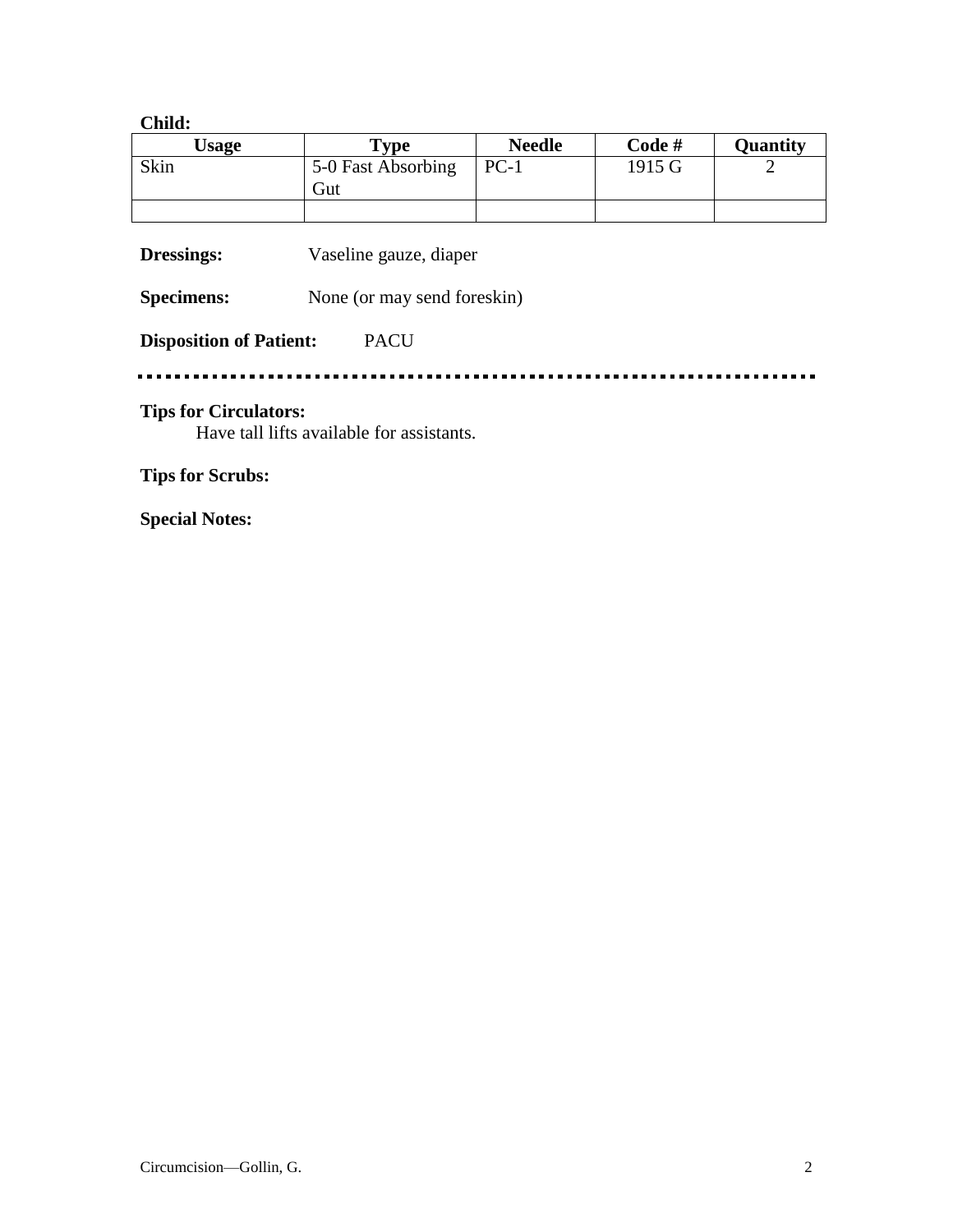#### **Child:**

| Usage | $\mathbf{v}_{\mathbf{v}\mathbf{p}\mathbf{e}}$ | <b>Needle</b> | Code#  | Quantity |
|-------|-----------------------------------------------|---------------|--------|----------|
| Skin  | 5-0 Fast Absorbing<br>Gut                     | $PC-1$        | 1915 G |          |
|       |                                               |               |        |          |

**Dressings:** Vaseline gauze, diaper

**Specimens:** None (or may send foreskin)

#### **Disposition of Patient:** PACU

#### 

## **Tips for Circulators:**

Have tall lifts available for assistants.

# **Tips for Scrubs:**

**Special Notes:**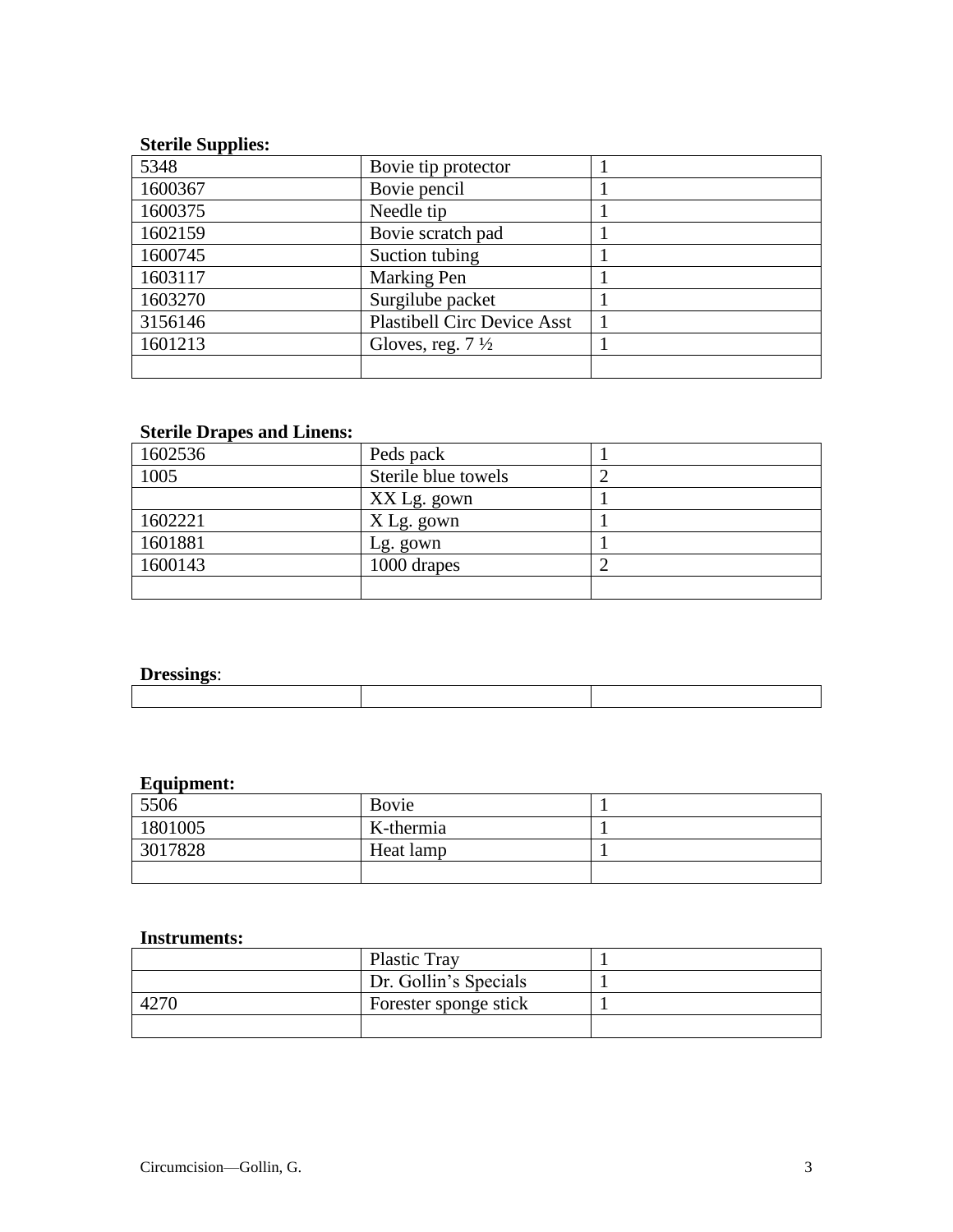# **Sterile Supplies:**

| 5348    | Bovie tip protector                |  |
|---------|------------------------------------|--|
| 1600367 | Bovie pencil                       |  |
| 1600375 | Needle tip                         |  |
| 1602159 | Bovie scratch pad                  |  |
| 1600745 | Suction tubing                     |  |
| 1603117 | Marking Pen                        |  |
| 1603270 | Surgilube packet                   |  |
| 3156146 | <b>Plastibell Circ Device Asst</b> |  |
| 1601213 | Gloves, reg. $7\frac{1}{2}$        |  |
|         |                                    |  |

# **Sterile Drapes and Linens:**

| 1602536 | Peds pack           |  |
|---------|---------------------|--|
| 1005    | Sterile blue towels |  |
|         | XX Lg. gown         |  |
| 1602221 | X Lg. gown          |  |
| 1601881 | Lg. gown            |  |
| 1600143 | 1000 drapes         |  |
|         |                     |  |

### **Dressings**:

| $\sim$ $\sim$ $\sim$ $\sim$ $\sim$ $\sim$ |  |  |
|-------------------------------------------|--|--|
|                                           |  |  |
|                                           |  |  |
|                                           |  |  |
|                                           |  |  |

### **Equipment:**

| 5506    | Bovie     |  |
|---------|-----------|--|
| 1801005 | K-thermia |  |
| 3017828 | Heat lamp |  |
|         |           |  |

#### **Instruments:**

| <b>Plastic Tray</b>   |  |
|-----------------------|--|
| Dr. Gollin's Specials |  |
| Forester sponge stick |  |
|                       |  |